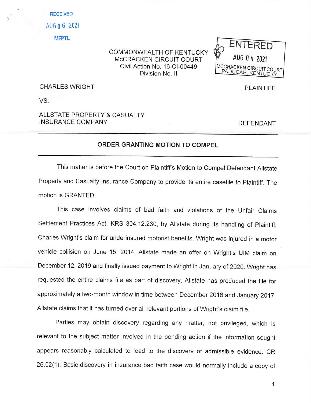**RECEIVED**  AUG **O 6** 2021 **MFPTL** 

## COMMONWEALTH OF KENTUCKY McCRACKEN CIRCUIT COURT Civil Action No. 16-Cl-00449 Division No. II



CHARLES WRIGHT

VS.

,

## ALLSTATE PROPERTY & CASUALTY INSURANCE COMPANY

DEFENDANT

PLAINTIFF

## **ORDER GRANTING MOTION TO COMPEL**

This matter is before the Court on Plaintiff's Motion to Compel Defendant Allstate Property and Casualty Insurance Company to provide its entire casefile to Plaintiff. The motion is GRANTED.

This case involves claims of bad faith and violations of the Unfair Claims Settlement Practices Act, KRS 304.12.230, by Allstate during its handling of Plaintiff, Charles Wright's claim for underinsured motorist benefits. Wright was injured in a motor vehicle collision on June 15, 2014, Allstate made an offer on Wright's UIM claim on December 12, 2019 and finally issued payment to Wright in January of 2020. Wright has requested the entire claims file as part of discovery, Allstate has produced the file for approximately a two-month window in time between December 2016 and January 2017. Allstate claims that it has turned over all relevant portions of Wright's claim file.

Parties may obtain discovery regarding any matter, not privileged, which is relevant to the subject matter involved in the pending action if the information sought appears reasonably calculated to lead to the discovery of admissible evidence. CR 26.02(1). Basic discovery in insurance bad faith case would normally include a copy of

1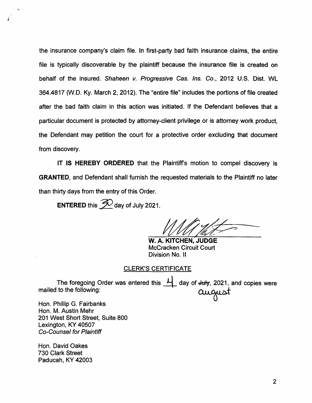the insurance company's claim file. In first-party bad faith insurance claims, the entire file is typically discoverable by the plaintiff because the insurance file is created on behalf of the insured. Shaheen v. Progressive Cas. Ins. Co., 2012 U.S. Dist. WL 364.4817 (W.D. Ky. March 2, 2012). The "entire file" includes the portions of file created after the bad faith claim in this action was initiated. If the Defendant believes that a particular document is protected by attorney-client privilege or is attorney work product, the Defendant may petition the court for a protective order excluding that document from discovery.

IT **IS HEREBY ORDERED** that the Plaintiffs motion to compel discovery is **GRANTED,** and Defendant shall furnish the requested materials to the Plaintiff no later than thirty days from the entry of this Order.

**ENTERED** this  $\mathcal{D}$  day of July 2021.

**W. A. KITCHEN,' JUDGE**  McCracken Circuit Court Division No. <sup>11</sup>

#### CLERK'S CERTIFICATE

The foregoing Order was entered this  $\overline{\mathcal{L}}$  day of <del>July</del>, 2021, and copies were CLERK'S CERTIFICATE<br>The foregoing Order was entered this  $\frac{11}{1}$  day of <del>July</del>, 2021, and copies<br>Cuccuraties to the following:<br>Cuccuration

Hon. Phillip G. Fairbanks Hon. M. Austin Mehr 201 West Short Street, Suite 800 Lexington, KY 40507 Co-Counsel for Plaintiff

Hon. David Oakes 730 Clark Street Paducah, KY 42003

...

*i*